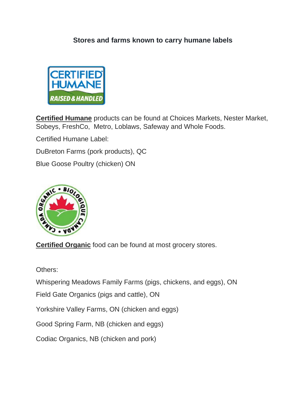#### **Stores and farms known to carry humane labels**



**Certified Humane** products can be found at Choices Markets, Nester Market, Sobeys, FreshCo, Metro, Loblaws, Safeway and Whole Foods.

Certified Humane Label:

DuBreton Farms (pork products), QC

Blue Goose Poultry (chicken) ON



**Certified Organic** food can be found at most grocery stores.

Others:

Whispering Meadows Family Farms (pigs, chickens, and eggs), ON

Field Gate Organics (pigs and cattle), ON

Yorkshire Valley Farms, ON (chicken and eggs)

Good Spring Farm, NB (chicken and eggs)

Codiac Organics, NB (chicken and pork)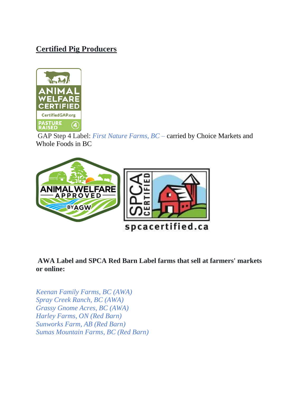# **Certified Pig Producers**



GAP Step 4 Label: *First Nature Farms, BC –* carried by Choice Markets and Whole Foods in BC



**AWA Label and SPCA Red Barn Label farms that sell at farmers' markets or online:**

*Keenan Family Farms, BC (AWA) Spray Creek Ranch, BC (AWA) Grassy Gnome Acres, BC (AWA) Harley Farms, ON (Red Barn) Sunworks Farm, AB (Red Barn) Sumas Mountain Farms, BC (Red Barn)*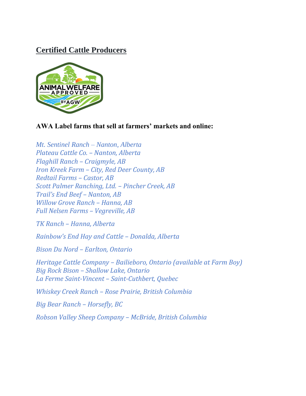## **Certified Cattle Producers**



#### **AWA Label farms that sell at farmers' markets and online:**

*[Mt. Sentinel Ranch –](https://agreenerworld.org/canada-family-farms-2/mt-sentinel-ranch-nanton-alberta/) Nanton, Alberta Plateau Cattle Co. – Nanton, Alberta [Flaghill Ranch](https://agreenerworld.org/canada-family-farms-2/flaghill-ranch-craigmyle-ab/) – Craigmyle, AB Iron Kreek Farm – [City, Red Deer County, AB](https://agreenerworld.org/canada-family-farms-2/iron-kreek-farm-city-red-deer-county-ab/) [Redtail Farms](https://agreenerworld.org/canada-family-farms-2/redtail-farms-castor-ab/) – Castor, AB [Scott Palmer Ranching, Ltd.](https://agreenerworld.org/canada-family-farms-2/scott-palmer-ranching-ltd-pincher-creek-ab/) – Pincher Creek, AB [Trail's End Beef –](https://agreenerworld.org/canada-family-farms-2/trails-end-beef-nanton-ab/) Nanton, AB [Willow Grove Ranch](https://agreenerworld.org/canada-family-farms-2/willow-grove-farm-hanna-ab/) – Hanna, AB [Full Nelsen Farms](https://agreenerworld.org/canada-family-farms-2/full-nelsen-farms-vegreville-ab/) – Vegreville, AB*

*TK Ranch – [Hanna, Alberta](https://agreenerworld.org/canada-family-farms-2/tk-ranch-hanna-alberta/)*

*[Rainbow's End Hay and Cattle –](https://agreenerworld.org/canada-family-farms-2/rainbows-end-hay-and-cattle-donalda-alberta/) Donalda, Alberta*

*Bison Du Nord – [Earlton, Ontario](https://agreenerworld.org/canada-family-farms-2/bison-du-nord-earlton-ontario/)*

*Heritage Cattle Company – Bailieboro, Ontario (available at Farm Boy) Big Rock Bison – [Shallow Lake, Ontario](https://agreenerworld.org/canada-family-farms-2/big-rock-bison-shallow-lake-ontario/) La Ferme Saint-Vincent – [Saint-Cuthbert, Quebec](https://agreenerworld.org/canada-family-farms-2/la-ferme-saint-vincent-saint-cuthbert-quebec/)*

*Whiskey Creek Ranch – [Rose Prairie, British Columbia](https://agreenerworld.org/canada-family-farms-2/whiskey-creek-ranch-rose-prairie-british-columbia/)*

*[Big Bear Ranch](https://agreenerworld.org/canada-family-farms-2/big-bear-ranch-horsefly-bc/) – Horsefly, BC*

*[Robson Valley Sheep Company](https://agreenerworld.org/canada-family-farms-2/robson-valley-sheep-company-mcbride-british-columbia/) – McBride, British Columbia*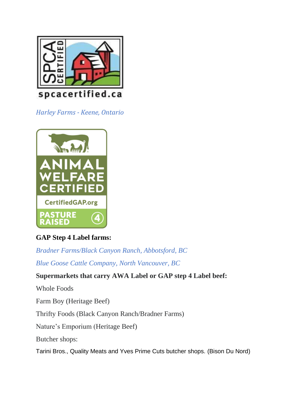

*Harley Farms - Keene, Ontario*



## **GAP Step 4 Label farms:**

*Bradner Farms/Black Canyon Ranch, Abbotsford, BC*

*Blue Goose Cattle Company, North Vancouver, BC*

### **Supermarkets that carry AWA Label or GAP step 4 Label beef:**

Whole Foods

Farm Boy (Heritage Beef)

Thrifty Foods (Black Canyon Ranch/Bradner Farms)

Nature's Emporium (Heritage Beef)

Butcher shops:

Tarini Bros., Quality Meats and Yves Prime Cuts butcher shops. (Bison Du Nord)